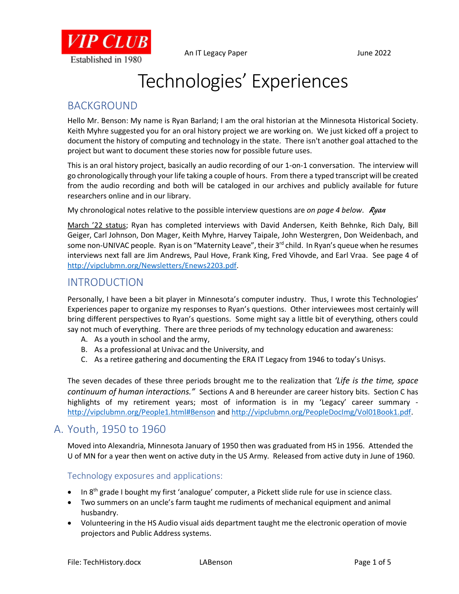

# Technologies' Experiences

## BACKGROUND

Hello Mr. Benson: My name is Ryan Barland; I am the oral historian at the Minnesota Historical Society. Keith Myhre suggested you for an oral history project we are working on. We just kicked off a project to document the history of computing and technology in the state. There isn't another goal attached to the project but want to document these stories now for possible future uses.

This is an oral history project, basically an audio recording of our 1-on-1 conversation. The interview will go chronologically through your life taking a couple of hours. From there a typed transcript will be created from the audio recording and both will be cataloged in our archives and publicly available for future researchers online and in our library.

My chronological notes relative to the possible interview questions are *on page 4 below. Ryan* 

March '22 status; Ryan has completed interviews with David Andersen, Keith Behnke, Rich Daly, Bill Geiger, Carl Johnson, Don Mager, Keith Myhre, Harvey Taipale, John Westergren, Don Weidenbach, and some non-UNIVAC people. Ryan is on "Maternity Leave", their 3<sup>rd</sup> child. In Ryan's queue when he resumes interviews next fall are Jim Andrews, Paul Hove, Frank King, Fred Vihovde, and Earl Vraa. See page 4 of [http://vipclubmn.org/Newsletters/Enews2203.pdf.](http://vipclubmn.org/Newsletters/Enews2203.pdf)

### INTRODUCTION

Personally, I have been a bit player in Minnesota's computer industry. Thus, I wrote this Technologies' Experiences paper to organize my responses to Ryan's questions. Other interviewees most certainly will bring different perspectives to Ryan's questions. Some might say a little bit of everything, others could say not much of everything. There are three periods of my technology education and awareness:

- A. As a youth in school and the army,
- B. As a professional at Univac and the University, and
- C. As a retiree gathering and documenting the ERA IT Legacy from 1946 to today's Unisys.

The seven decades of these three periods brought me to the realization that *'Life is the time, space continuum of human interactions."* Sections A and B hereunder are career history bits. Section C has highlights of my retirement years; most of information is in my 'Legacy' career summary <http://vipclubmn.org/People1.html#Benson> and [http://vipclubmn.org/PeopleDocImg/Vol01Book1.pdf.](http://vipclubmn.org/PeopleDocImg/Vol01Book1.pdf)

#### A. Youth, 1950 to 1960

Moved into Alexandria, Minnesota January of 1950 then was graduated from HS in 1956. Attended the U of MN for a year then went on active duty in the US Army. Released from active duty in June of 1960.

#### Technology exposures and applications:

- $\bullet$  In 8<sup>th</sup> grade I bought my first 'analogue' computer, a Pickett slide rule for use in science class.
- Two summers on an uncle's farm taught me rudiments of mechanical equipment and animal husbandry.
- Volunteering in the HS Audio visual aids department taught me the electronic operation of movie projectors and Public Address systems.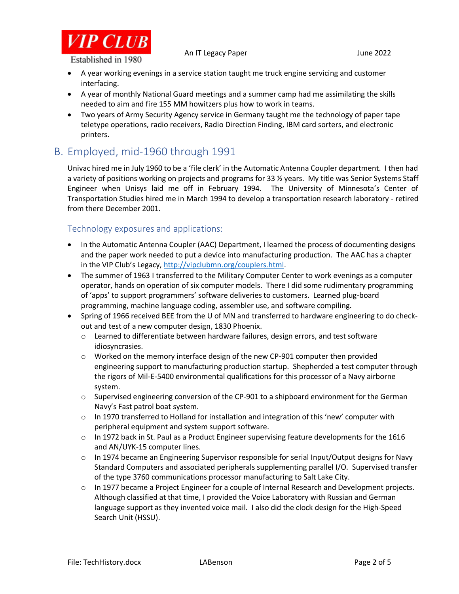

An IT Legacy Paper and The Second State State State State State State State State State State State State State

- A year working evenings in a service station taught me truck engine servicing and customer interfacing.
- A year of monthly National Guard meetings and a summer camp had me assimilating the skills needed to aim and fire 155 MM howitzers plus how to work in teams.
- Two years of Army Security Agency service in Germany taught me the technology of paper tape teletype operations, radio receivers, Radio Direction Finding, IBM card sorters, and electronic printers.

## B. Employed, mid-1960 through 1991

Univac hired me in July 1960 to be a 'file clerk' in the Automatic Antenna Coupler department. I then had a variety of positions working on projects and programs for 33 ½ years. My title was Senior Systems Staff Engineer when Unisys laid me off in February 1994. The University of Minnesota's Center of Transportation Studies hired me in March 1994 to develop a transportation research laboratory - retired from there December 2001.

#### Technology exposures and applications:

- In the Automatic Antenna Coupler (AAC) Department, I learned the process of documenting designs and the paper work needed to put a device into manufacturing production. The AAC has a chapter in the VIP Club's Legacy, [http://vipclubmn.org/couplers.html.](http://vipclubmn.org/couplers.html)
- The summer of 1963 I transferred to the Military Computer Center to work evenings as a computer operator, hands on operation of six computer models. There I did some rudimentary programming of 'apps' to support programmers' software deliveries to customers. Learned plug-board programming, machine language coding, assembler use, and software compiling.
- Spring of 1966 received BEE from the U of MN and transferred to hardware engineering to do checkout and test of a new computer design, 1830 Phoenix.
	- $\circ$  Learned to differentiate between hardware failures, design errors, and test software idiosyncrasies.
	- $\circ$  Worked on the memory interface design of the new CP-901 computer then provided engineering support to manufacturing production startup. Shepherded a test computer through the rigors of Mil-E-5400 environmental qualifications for this processor of a Navy airborne system.
	- o Supervised engineering conversion of the CP-901 to a shipboard environment for the German Navy's Fast patrol boat system.
	- $\circ$  In 1970 transferred to Holland for installation and integration of this 'new' computer with peripheral equipment and system support software.
	- $\circ$  In 1972 back in St. Paul as a Product Engineer supervising feature developments for the 1616 and AN/UYK-15 computer lines.
	- $\circ$  In 1974 became an Engineering Supervisor responsible for serial Input/Output designs for Navy Standard Computers and associated peripherals supplementing parallel I/O. Supervised transfer of the type 3760 communications processor manufacturing to Salt Lake City.
	- $\circ$  In 1977 became a Project Engineer for a couple of Internal Research and Development projects. Although classified at that time, I provided the Voice Laboratory with Russian and German language support as they invented voice mail. I also did the clock design for the High-Speed Search Unit (HSSU).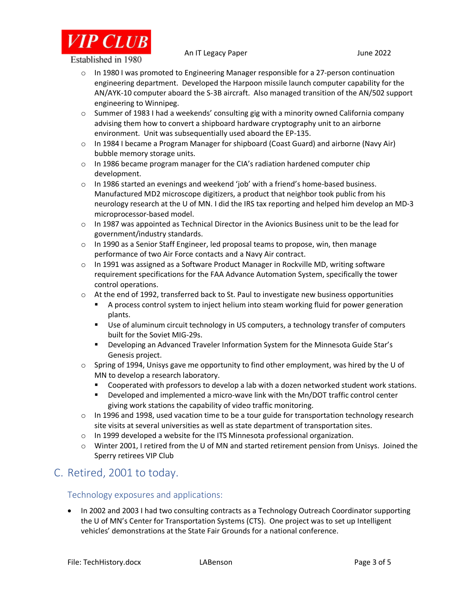

An IT Legacy Paper and The Second State State State State State State State State State State State State State

 $\circ$  In 1980 I was promoted to Engineering Manager responsible for a 27-person continuation engineering department. Developed the Harpoon missile launch computer capability for the AN/AYK-10 computer aboard the S-3B aircraft. Also managed transition of the AN/502 support engineering to Winnipeg.

- $\circ$  Summer of 1983 I had a weekends' consulting gig with a minority owned California company advising them how to convert a shipboard hardware cryptography unit to an airborne environment. Unit was subsequentially used aboard the EP-135.
- o In 1984 I became a Program Manager for shipboard (Coast Guard) and airborne (Navy Air) bubble memory storage units.
- $\circ$  In 1986 became program manager for the CIA's radiation hardened computer chip development.
- $\circ$  In 1986 started an evenings and weekend 'job' with a friend's home-based business. Manufactured MD2 microscope digitizers, a product that neighbor took public from his neurology research at the U of MN. I did the IRS tax reporting and helped him develop an MD-3 microprocessor-based model.
- $\circ$  In 1987 was appointed as Technical Director in the Avionics Business unit to be the lead for government/industry standards.
- $\circ$  In 1990 as a Senior Staff Engineer, led proposal teams to propose, win, then manage performance of two Air Force contacts and a Navy Air contract.
- $\circ$  In 1991 was assigned as a Software Product Manager in Rockville MD, writing software requirement specifications for the FAA Advance Automation System, specifically the tower control operations.
- $\circ$  At the end of 1992, transferred back to St. Paul to investigate new business opportunities
	- A process control system to inject helium into steam working fluid for power generation plants.
	- Use of aluminum circuit technology in US computers, a technology transfer of computers built for the Soviet MIG-29s.
	- Developing an Advanced Traveler Information System for the Minnesota Guide Star's Genesis project.
- $\circ$  Spring of 1994, Unisys gave me opportunity to find other employment, was hired by the U of MN to develop a research laboratory.
	- Cooperated with professors to develop a lab with a dozen networked student work stations.
	- Developed and implemented a micro-wave link with the Mn/DOT traffic control center giving work stations the capability of video traffic monitoring.
- $\circ$  In 1996 and 1998, used vacation time to be a tour guide for transportation technology research site visits at several universities as well as state department of transportation sites.
- $\circ$  In 1999 developed a website for the ITS Minnesota professional organization.
- o Winter 2001, I retired from the U of MN and started retirement pension from Unisys. Joined the Sperry retirees VIP Club

## C. Retired, 2001 to today.

#### Technology exposures and applications:

• In 2002 and 2003 I had two consulting contracts as a Technology Outreach Coordinator supporting the U of MN's Center for Transportation Systems (CTS). One project was to set up Intelligent vehicles' demonstrations at the State Fair Grounds for a national conference.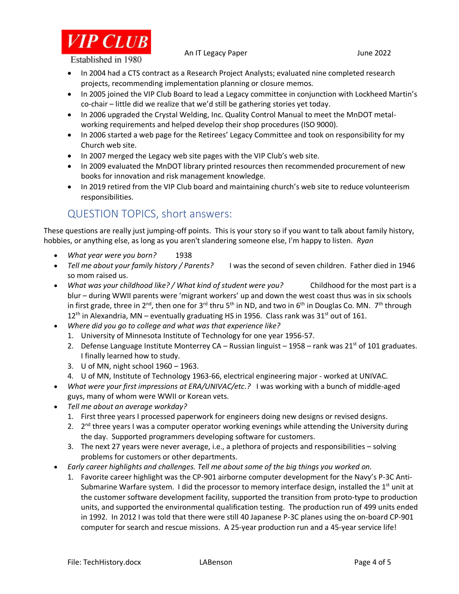

An IT Legacy Paper and The Second State State State State State State State State State State State State State

- In 2004 had a CTS contract as a Research Project Analysts; evaluated nine completed research projects, recommending implementation planning or closure memos.
- In 2005 joined the VIP Club Board to lead a Legacy committee in conjunction with Lockheed Martin's co-chair – little did we realize that we'd still be gathering stories yet today.
- In 2006 upgraded the Crystal Welding, Inc. Quality Control Manual to meet the MnDOT metalworking requirements and helped develop their shop procedures (ISO 9000).
- In 2006 started a web page for the Retirees' Legacy Committee and took on responsibility for my Church web site.
- In 2007 merged the Legacy web site pages with the VIP Club's web site.
- In 2009 evaluated the MnDOT library printed resources then recommended procurement of new books for innovation and risk management knowledge.
- In 2019 retired from the VIP Club board and maintaining church's web site to reduce volunteerism responsibilities.

## QUESTION TOPICS, short answers:

These questions are really just jumping-off points. This is your story so if you want to talk about family history, hobbies, or anything else, as long as you aren't slandering someone else, I'm happy to listen. *Ryan*

- *What year were you born?* 1938
- *Tell me about your family history / Parents?* I was the second of seven children. Father died in 1946 so mom raised us.
- *What was your childhood like? / What kind of student were you?* Childhood for the most part is a blur – during WWII parents were 'migrant workers' up and down the west coast thus was in six schools in first grade, three in 2<sup>nd</sup>, then one for 3<sup>rd</sup> thru 5<sup>th</sup> in ND, and two in 6<sup>th</sup> in Douglas Co. MN. 7<sup>th</sup> through  $12<sup>th</sup>$  in Alexandria, MN – eventually graduating HS in 1956. Class rank was 31<sup>st</sup> out of 161.
- *Where did you go to college and what was that experience like?*
	- 1. University of Minnesota Institute of Technology for one year 1956-57.
	- 2. Defense Language Institute Monterrey CA Russian linguist 1958 rank was 21<sup>st</sup> of 101 graduates. I finally learned how to study.
	- 3. U of MN, night school 1960 1963.
	- 4. U of MN, Institute of Technology 1963-66, electrical engineering major worked at UNIVAC.
- *What were your first impressions at ERA/UNIVAC/etc.?* I was working with a bunch of middle-aged guys, many of whom were WWII or Korean vets.
- *Tell me about an average workday?*
	- 1. First three years I processed paperwork for engineers doing new designs or revised designs.
	- 2. 2<sup>nd</sup> three years I was a computer operator working evenings while attending the University during the day. Supported programmers developing software for customers.
	- 3. The next 27 years were never average, i.e., a plethora of projects and responsibilities solving problems for customers or other departments.
- *Early career highlights and challenges. Tell me about some of the big things you worked on.*
	- 1. Favorite career highlight was the CP-901 airborne computer development for the Navy's P-3C Anti-Submarine Warfare system. I did the processor to memory interface design, installed the  $1<sup>st</sup>$  unit at the customer software development facility, supported the transition from proto-type to production units, and supported the environmental qualification testing. The production run of 499 units ended in 1992. In 2012 I was told that there were still 40 Japanese P-3C planes using the on-board CP-901 computer for search and rescue missions. A 25-year production run and a 45-year service life!